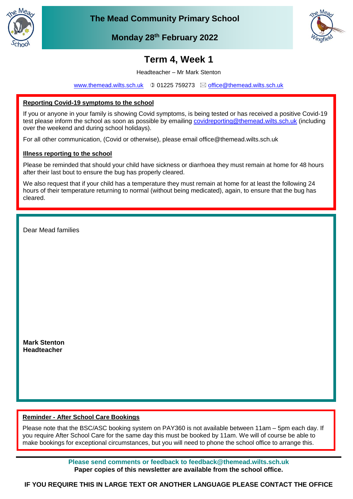

**The Mead Community Primary School**



**Monday 28th February 2022**

# **Term 4, Week 1**

Headteacher – Mr Mark Stenton

[www.themead.wilts.sch.uk](http://www.themead.wilts.sch.uk/)  $\circledcirc$  01225 759273  $\boxtimes$  [office@themead.wilts.sch.uk](mailto:office@themead.wilts.sch.uk)

## **Reporting Covid-19 symptoms to the school**

Thank you for your assistance in helping us keep everyone safe.

If you or anyone in your family is showing Covid symptoms, is being tested or has received a positive Covid-19 test please inform the school as soon as possible by emailing [covidreporting@themead.wilts.sch.uk](mailto:covidreporting@themead.wilts.sch.uk) (including over the weekend and during school holidays).

For all other communication, (Covid or otherwise), please email office@themead.wilts.sch.uk

### **Illness reporting to the school**

Please be reminded that should your child have sickness or diarrhoea they must remain at home for 48 hours after their last bout to ensure the bug has properly cleared.

We also request that if your child has a temperature they must remain at home for at least the following 24 hours of their temperature returning to normal (without being medicated), again, to ensure that the bug has cleared.

Dear Mead families

**Mark Stenton Headteacher**

### **Reminder - After School Care Bookings**

Please note that the BSC/ASC booking system on PAY360 is not available between 11am – 5pm each day. If you require After School Care for the same day this must be booked by 11am. We will of course be able to make bookings for exceptional circumstances, but you will need to phone the school office to arrange this.

> **Please send comments or feedback to feedback@themead.wilts.sch.uk Paper copies of this newsletter are available from the school office.**

**IF YOU REQUIRE THIS IN LARGE TEXT OR ANOTHER LANGUAGE PLEASE CONTACT THE OFFICE**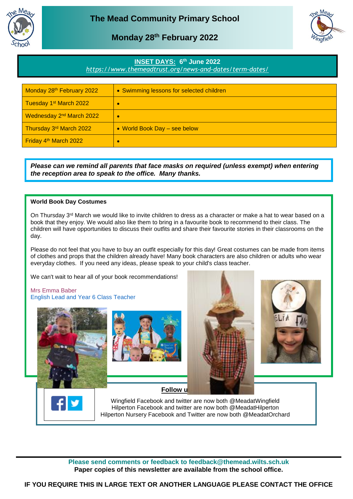

## **Monday 28th February 2022**



### **INSET DAYS: 6 th June 2022**

*<https://www.themeadtrust.org/news-and-dates/term-dates/>*

| Monday 28th February 2022            | • Swimming lessons for selected children |
|--------------------------------------|------------------------------------------|
| Tuesday 1 <sup>st</sup> March 2022   | ×                                        |
| Wednesday 2 <sup>nd</sup> March 2022 | ÷                                        |
| Thursday 3rd March 2022              | • World Book Day - see below             |
| Friday 4 <sup>th</sup> March 2022    | œ                                        |

*Please can we remind all parents that face masks on required (unless exempt) when entering the reception area to speak to the office. Many thanks.*

#### **World Book Day Costumes**

On Thursday 3<sup>rd</sup> March we would like to invite children to dress as a character or make a hat to wear based on a book that they enjoy. We would also like them to bring in a favourite book to recommend to their class. The children will have opportunities to discuss their outfits and share their favourite stories in their classrooms on the day.

Please do not feel that you have to buy an outfit especially for this day! Great costumes can be made from items of clothes and props that the children already have! Many book characters are also children or adults who wear everyday clothes. If you need any ideas, please speak to your child's class teacher.

We can't wait to hear all of your book recommendations!

Mrs Emma Baber English Lead and Year 6 Class Teacher





**Follow u** 



Wingfield Facebook and twitter are now both @MeadatWingfield Hilperton Facebook and twitter are now both @MeadatHilperton Hilperton Nursery Facebook and Twitter are now both @MeadatOrchard

**Please send comments or feedback to feedback@themead.wilts.sch.uk Paper copies of this newsletter are available from the school office.**